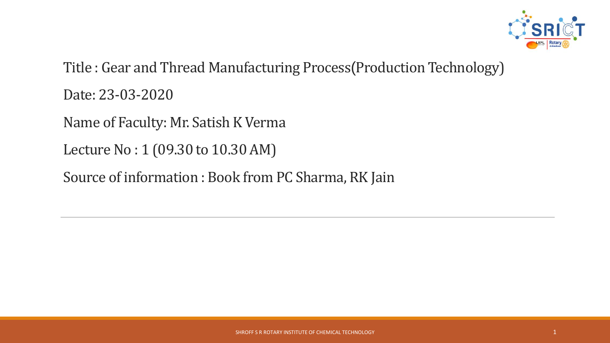

Title : Gear and Thread Manufacturing Process(Production Technology) Date: 23-03-2020

Name of Faculty: Mr. Satish K Verma

Lecture No : 1 (09.30 to 10.30 AM)

Source of information : Book from PC Sharma, RK Jain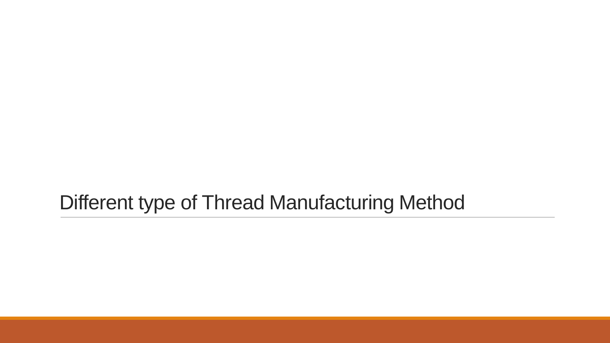# Different type of Thread Manufacturing Method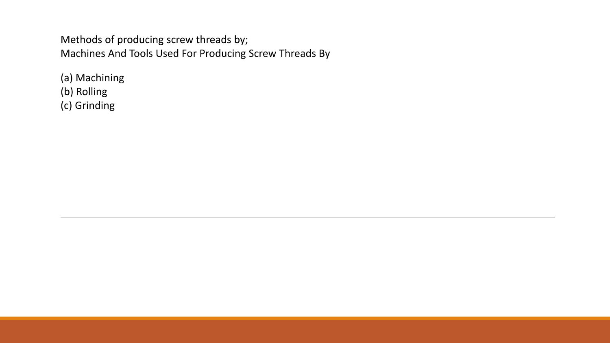Methods of producing screw threads by; Machines And Tools Used For Producing Screw Threads By

(a) Machining (b) Rolling (c) Grinding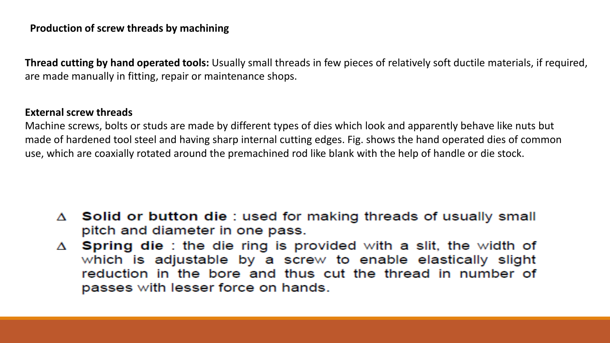# **Production of screw threads by machining**

**Thread cutting by hand operated tools:** Usually small threads in few pieces of relatively soft ductile materials, if required, are made manually in fitting, repair or maintenance shops.

### **External screw threads**

Machine screws, bolts or studs are made by different types of dies which look and apparently behave like nuts but made of hardened tool steel and having sharp internal cutting edges. Fig. shows the hand operated dies of common use, which are coaxially rotated around the premachined rod like blank with the help of handle or die stock.

- △ Solid or button die : used for making threads of usually small pitch and diameter in one pass.
- $\Delta$  Spring die : the die ring is provided with a slit, the width of which is adjustable by a screw to enable elastically slight reduction in the bore and thus cut the thread in number of passes with lesser force on hands.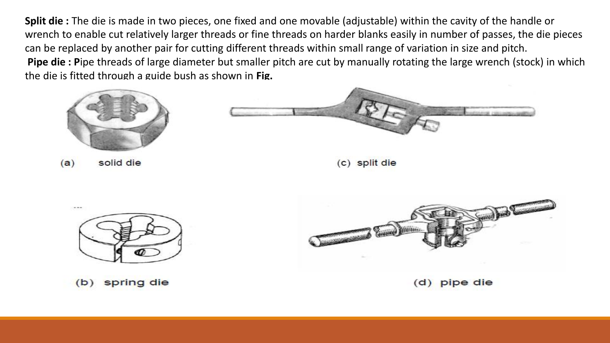**Split die :** The die is made in two pieces, one fixed and one movable (adjustable) within the cavity of the handle or wrench to enable cut relatively larger threads or fine threads on harder blanks easily in number of passes, the die pieces can be replaced by another pair for cutting different threads within small range of variation in size and pitch. **Pipe die : P**ipe threads of large diameter but smaller pitch are cut by manually rotating the large wrench (stock) in which the die is fitted through a guide bush as shown in **Fig.**







spring die  $(b)$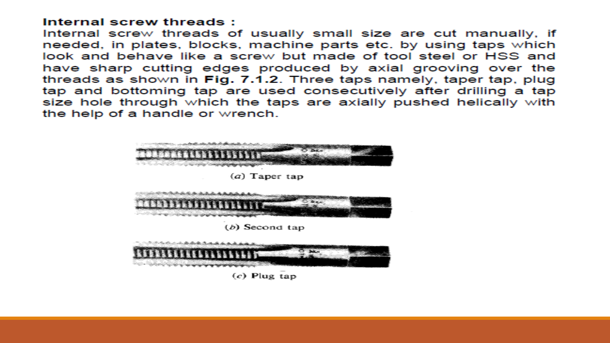### Internal screw threads:

Internal screw threads of usually small size are cut manually, if needed, in plates, blocks, machine parts etc. by using taps which look and behave like a screw but made of tool steel or HSS and have sharp cutting edges produced by axial grooving over the threads as shown in Fig. 7.1.2. Three taps namely, taper tap, plug tap and bottoming tap are used consecutively after drilling a tap size hole through which the taps are axially pushed helically with the help of a handle or wrench.

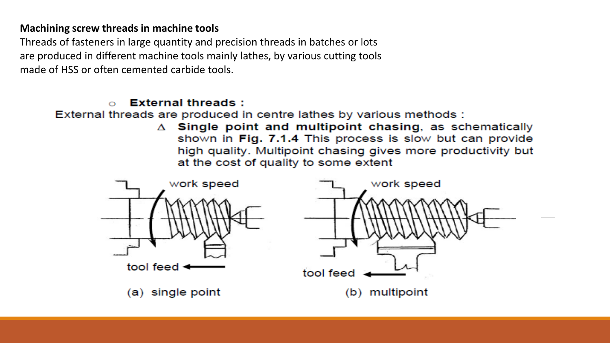# **Machining screw threads in machine tools**

Threads of fasteners in large quantity and precision threads in batches or lots are produced in different machine tools mainly lathes, by various cutting tools made of HSS or often cemented carbide tools.

#### **External threads:**  $\circ$

External threads are produced in centre lathes by various methods :

 $\triangle$  Single point and multipoint chasing, as schematically shown in Fig. 7.1.4 This process is slow but can provide high quality. Multipoint chasing gives more productivity but at the cost of quality to some extent

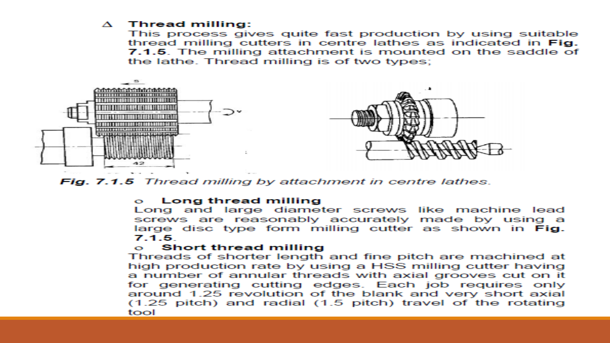### $\Delta$  Thread milling:

This process gives quite fast production by using suitable thread milling cutters in centre lathes as indicated in Fig. 7.1.5. The milling attachment is mounted on the saddle of the lathe. Thread milling is of two types;



Fig. 7.1.5 Thread milling by attachment in centre lathes.

#### Long thread milling **COMPANY**

Long and large diameter screws like machine lead screws are reasonably accurately made by using a large disc type form milling cutter as shown in Fig. 7.1.5

#### **Short thread milling** C.X

Threads of shorter length and fine pitch are machined at high production rate by using a HSS milling cutter having a number of annular threads with axial grooves cut on it for generating cutting edges. Each job requires only around 1.25 revolution of the blank and very short axial  $(1.25$  pitch) and radial  $(1.5$  pitch) travel of the rotating tool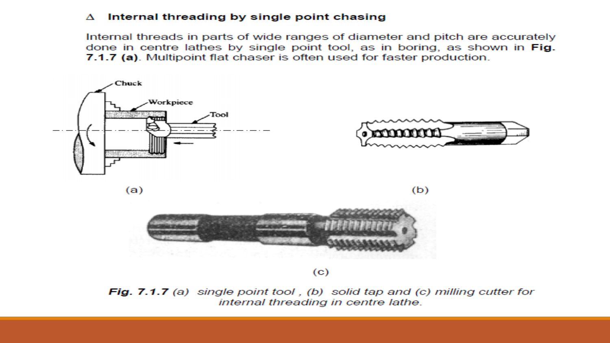### $\Delta$  Internal threading by single point chasing

Internal threads in parts of wide ranges of diameter and pitch are accurately done in centre lathes by single point tool, as in boring, as shown in Fig. 7.1.7 (a). Multipoint flat chaser is often used for faster production.



**Fig. 7.1.7** (a) single point tool, (b) solid tap and (c) milling cutter for internal threading in centre lathe.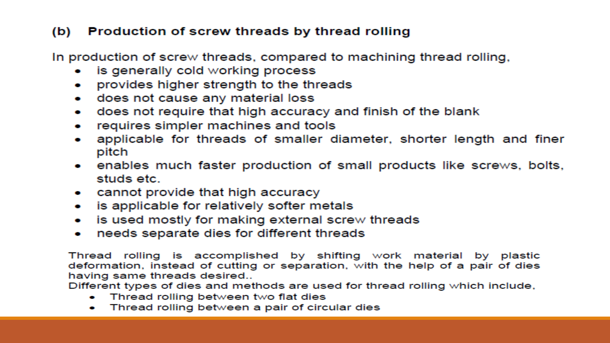# (b) Production of screw threads by thread rolling

In production of screw threads, compared to machining thread rolling,

- is generally cold working process
- provides higher strength to the threads
- does not cause any material loss
- does not require that high accuracy and finish of the blank **CONTRACTOR**
- requires simpler machines and tools **CONTRACTOR**
- applicable for threads of smaller diameter, shorter length and finer pitch
- enables much faster production of small products like screws, bolts, studs etc.
- cannot provide that high accuracy
- is applicable for relatively softer metals
- is used mostly for making external screw threads  $\bullet$
- needs separate dies for different threads

Thread rolling is accomplished by shifting work material by plastic deformation, instead of cutting or separation, with the help of a pair of dies having same threads desired..

Different types of dies and methods are used for thread rolling which include,

- Thread rolling between two flat dies
- Thread rolling between a pair of circular dies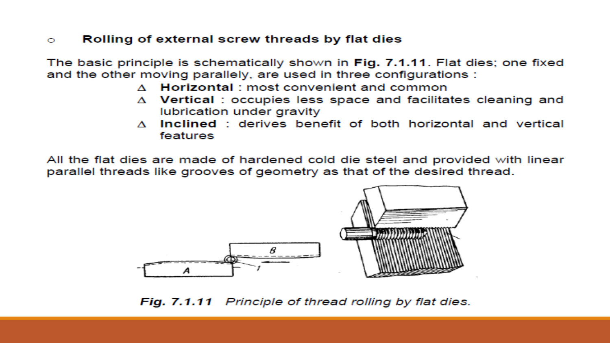#### Rolling of external screw threads by flat dies  $\bigcirc$

The basic principle is schematically shown in Fig. 7.1.11. Flat dies; one fixed and the other moving parallely, are used in three configurations :

- $\Lambda$  Horizontal ; most convenient and common
- $\Delta$  Vertical: occupies less space and facilitates cleaning and lubrication under gravity
- Inclined: derives benefit of both horizontal and vertical  $\mathcal{A}$ features

All the flat dies are made of hardened cold die steel and provided with linear parallel threads like grooves of geometry as that of the desired thread.



Fig. 7.1.11 Principle of thread rolling by flat dies.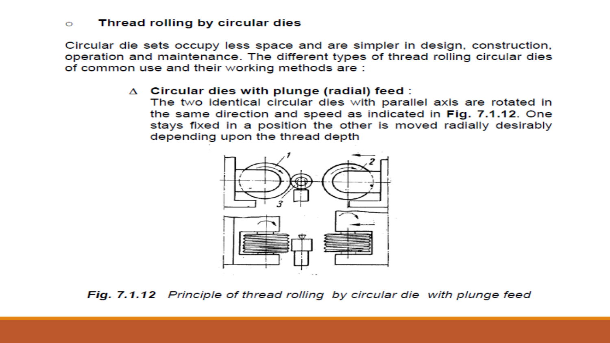#### Thread rolling by circular dies  $\circ$

Circular die sets occupy less space and are simpler in design, construction, operation and maintenance. The different types of thread rolling circular dies of common use and their working methods are:

### $\Delta$  Circular dies with plunge (radial) feed :

The two identical circular dies with parallel axis are rotated in the same direction and speed as indicated in Fig. 7.1.12. One stays fixed in a position the other is moved radially desirably depending upon the thread depth



Fig. 7.1.12 Principle of thread rolling by circular die with plunge feed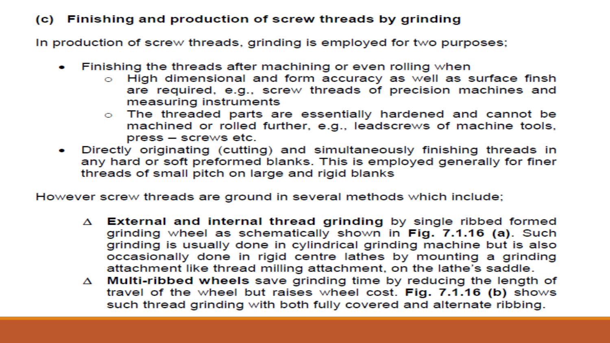# (c) Finishing and production of screw threads by grinding

In production of screw threads, grinding is employed for two purposes;

- Finishing the threads after machining or even rolling when
	- o High dimensional and form accuracy as well as surface finsh are required, e.g., screw threads of precision machines and measuring instruments
	- o The threaded parts are essentially hardened and cannot be machined or rolled further, e.g., leadscrews of machine tools, press – screws etc.
- Directly originating (cutting) and simultaneously finishing threads in any hard or soft preformed blanks. This is employed generally for finer threads of small pitch on large and rigid blanks

However screw threads are ground in several methods which include;

- $\Delta$  External and internal thread grinding by single ribbed formed grinding wheel as schematically shown in Fig. 7.1.16 (a). Such grinding is usually done in cylindrical grinding machine but is also occasionally done in rigid centre lathes by mounting a grinding attachment like thread milling attachment, on the lathe's saddle.
- $\Delta$  Multi-ribbed wheels save grinding time by reducing the length of travel of the wheel but raises wheel cost. Fig. 7.1.16 (b) shows such thread grinding with both fully covered and alternate ribbing.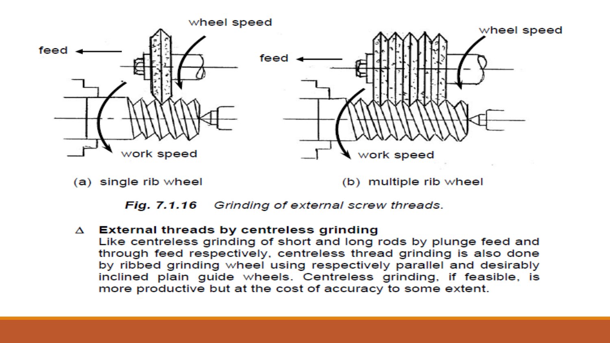

 $(a)$  single rib wheel

(b) multiple rib wheel



## $\Delta$  External threads by centreless grinding

Like centreless grinding of short and long rods by plunge feed and through feed respectively, centreless thread grinding is also done by ribbed grinding wheel using respectively parallel and desirably inclined plain guide wheels. Centreless grinding, if feasible, is more productive but at the cost of accuracy to some extent.